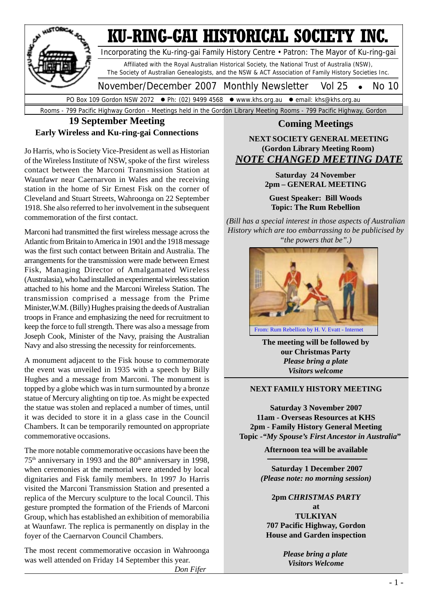

#### **19 September Meeting Early Wireless and Ku-ring-gai Connections**

Jo Harris, who is Society Vice-President as well as Historian of the Wireless Institute of NSW, spoke of the first wireless contact between the Marconi Transmission Station at Waunfawr near Caernarvon in Wales and the receiving station in the home of Sir Ernest Fisk on the corner of Cleveland and Stuart Streets, Wahroonga on 22 September 1918. She also referred to her involvement in the subsequent commemoration of the first contact.

Marconi had transmitted the first wireless message across the Atlantic from Britain to America in 1901 and the 1918 message was the first such contact between Britain and Australia. The arrangements for the transmission were made between Ernest Fisk, Managing Director of Amalgamated Wireless (Australasia), who had installed an experimental wireless station attached to his home and the Marconi Wireless Station. The transmission comprised a message from the Prime Minister,W.M. (Billy) Hughes praising the deeds of Australian troops in France and emphasizing the need for recruitment to keep the force to full strength. There was also a message from Joseph Cook, Minister of the Navy, praising the Australian Navy and also stressing the necessity for reinforcements.

A monument adjacent to the Fisk house to commemorate the event was unveiled in 1935 with a speech by Billy Hughes and a message from Marconi. The monument is topped by a globe which was in turn surmounted by a bronze statue of Mercury alighting on tip toe. As might be expected the statue was stolen and replaced a number of times, until it was decided to store it in a glass case in the Council Chambers. It can be temporarily remounted on appropriate commemorative occasions.

The more notable commemorative occasions have been the  $75<sup>th</sup>$  anniversary in 1993 and the  $80<sup>th</sup>$  anniversary in 1998. when ceremonies at the memorial were attended by local dignitaries and Fisk family members. In 1997 Jo Harris visited the Marconi Transmission Station and presented a replica of the Mercury sculpture to the local Council. This gesture prompted the formation of the Friends of Marconi Group, which has established an exhibition of memorabilia at Waunfawr. The replica is permanently on display in the foyer of the Caernarvon Council Chambers.

The most recent commemorative occasion in Wahroonga was well attended on Friday 14 September this year.



**Coming Meetings**

**NEXT SOCIETY GENERAL MEETING (Gordon Library Meeting Room)** *NOTE CHANGED MEETING DATE*

**Saturday 24 November 2pm – GENERAL MEETING Guest Speaker: Bill Woods Topic: The Rum Rebellion** *(Bill has a special interest in those aspects of Australian History which are too embarrassing to be publicised by "the powers that be".)*

> **The meeting will be followed by our Christmas Party** *Please bring a plate Visitors welcome*

#### **NEXT FAMILY HISTORY MEETING**

**Saturday 3 November 2007 11am - Overseas Resources at KHS 2pm - Family History General Meeting Topic** *-"My Spouse's First Ancestor in Australia***"**

**Afternoon tea will be available**

**Saturday 1 December 2007** *(Please note: no morning session)*

**2pm** *CHRISTMAS PARTY* **at TULKIYAN 707 Pacific Highway, Gordon House and Garden inspection**

> *Please bring a plate Visitors Welcome*

 *Don Fifer*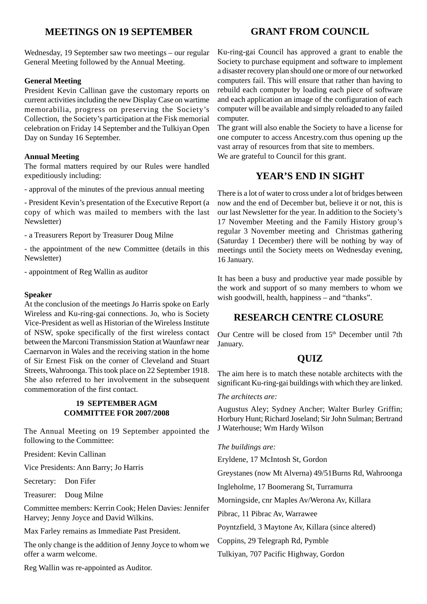#### **MEETINGS ON 19 SEPTEMBER**

#### Wednesday, 19 September saw two meetings – our regular General Meeting followed by the Annual Meeting.

#### **General Meeting**

President Kevin Callinan gave the customary reports on current activities including the new Display Case on wartime memorabilia, progress on preserving the Society's Collection, the Society's participation at the Fisk memorial celebration on Friday 14 September and the Tulkiyan Open Day on Sunday 16 September.

#### **Annual Meeting**

The formal matters required by our Rules were handled expeditiously including:

- approval of the minutes of the previous annual meeting

- President Kevin's presentation of the Executive Report (a copy of which was mailed to members with the last Newsletter)

- a Treasurers Report by Treasurer Doug Milne

- the appointment of the new Committee (details in this Newsletter)

- appointment of Reg Wallin as auditor

#### **Speaker**

At the conclusion of the meetings Jo Harris spoke on Early Wireless and Ku-ring-gai connections. Jo, who is Society Vice-President as well as Historian of the Wireless Institute of NSW, spoke specifically of the first wireless contact between the Marconi Transmission Station at Waunfawr near Caernarvon in Wales and the receiving station in the home of Sir Ernest Fisk on the corner of Cleveland and Stuart Streets, Wahroonga. This took place on 22 September 1918. She also referred to her involvement in the subsequent commemoration of the first contact.

#### **19 SEPTEMBER AGM COMMITTEE FOR 2007/2008**

The Annual Meeting on 19 September appointed the following to the Committee:

President: Kevin Callinan

Vice Presidents: Ann Barry; Jo Harris

Secretary: Don Fifer

Treasurer: Doug Milne

Committee members: Kerrin Cook; Helen Davies: Jennifer Harvey; Jenny Joyce and David Wilkins.

Max Farley remains as Immediate Past President.

The only change is the addition of Jenny Joyce to whom we offer a warm welcome.

Reg Wallin was re-appointed as Auditor.

#### **GRANT FROM COUNCIL**

Ku-ring-gai Council has approved a grant to enable the Society to purchase equipment and software to implement a disaster recovery plan should one or more of our networked computers fail. This will ensure that rather than having to rebuild each computer by loading each piece of software and each application an image of the configuration of each computer will be available and simply reloaded to any failed computer.

The grant will also enable the Society to have a license for one computer to access Ancestry.com thus opening up the vast array of resources from that site to members. We are grateful to Council for this grant.

#### **YEAR'S END IN SIGHT**

There is a lot of water to cross under a lot of bridges between now and the end of December but, believe it or not, this is our last Newsletter for the year. In addition to the Society's 17 November Meeting and the Family History group's regular 3 November meeting and Christmas gathering (Saturday 1 December) there will be nothing by way of meetings until the Society meets on Wednesday evening, 16 January.

It has been a busy and productive year made possible by the work and support of so many members to whom we wish goodwill, health, happiness – and "thanks".

#### **RESEARCH CENTRE CLOSURE**

Our Centre will be closed from  $15<sup>th</sup>$  December until 7th January.

#### **QUIZ**

The aim here is to match these notable architects with the significant Ku-ring-gai buildings with which they are linked.

*The architects are:*

Augustus Aley; Sydney Ancher; Walter Burley Griffin; Horbury Hunt; Richard Joseland; Sir John Sulman; Bertrand J Waterhouse; Wm Hardy Wilson

#### *The buildings are:*

Eryldene, 17 McIntosh St, Gordon

Greystanes (now Mt Alverna) 49/51Burns Rd, Wahroonga

Ingleholme, 17 Boomerang St, Turramurra

Morningside, cnr Maples Av/Werona Av, Killara

Pibrac, 11 Pibrac Av, Warrawee

Poyntzfield, 3 Maytone Av, Killara (since altered)

Coppins, 29 Telegraph Rd, Pymble

Tulkiyan, 707 Pacific Highway, Gordon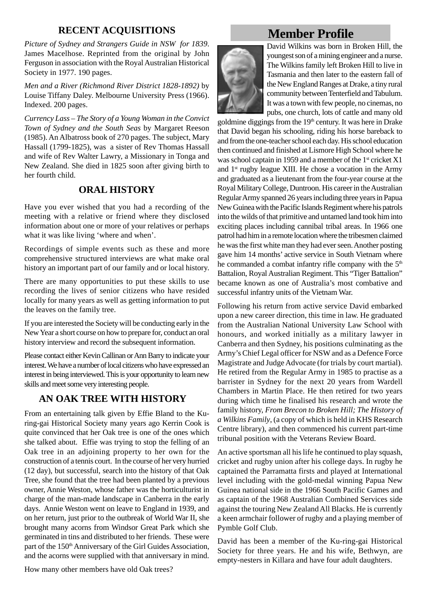#### **RECENT ACQUISITIONS**

*Picture of Sydney and Strangers Guide in NSW for 1839*. James Macelhose. Reprinted from the original by John Ferguson in association with the Royal Australian Historical Society in 1977. 190 pages.

*Men and a River (Richmond River District 1828-1892)* by Louise Tiffany Daley. Melbourne University Press (1966). Indexed. 200 pages.

*Currency Lass – The Story of a Young Woman in the Convict Town of Sydney and the South Seas* by Margaret Reeson (1985). An Albatross book of 270 pages. The subject, Mary Hassall (1799-1825), was a sister of Rev Thomas Hassall and wife of Rev Walter Lawry, a Missionary in Tonga and New Zealand. She died in 1825 soon after giving birth to her fourth child.

#### **ORAL HISTORY**

Have you ever wished that you had a recording of the meeting with a relative or friend where they disclosed information about one or more of your relatives or perhaps what it was like living 'where and when'.

Recordings of simple events such as these and more comprehensive structured interviews are what make oral history an important part of our family and or local history.

There are many opportunities to put these skills to use recording the lives of senior citizens who have resided locally for many years as well as getting information to put the leaves on the family tree.

If you are interested the Society will be conducting early in the New Year a short course on how to prepare for, conduct an oral history interview and record the subsequent information.

Please contact either Kevin Callinan or Ann Barry to indicate your interest. We have a number of local citizens who have expressed an interest in being interviewed. This is your opportunity to learn new skills and meet some very interesting people.

### **AN OAK TREE WITH HISTORY**

From an entertaining talk given by Effie Bland to the Kuring-gai Historical Society many years ago Kerrin Cook is quite convinced that her Oak tree is one of the ones which she talked about. Effie was trying to stop the felling of an Oak tree in an adjoining property to her own for the construction of a tennis court. In the course of her very hurried (12 day), but successful, search into the history of that Oak Tree, she found that the tree had been planted by a previous owner, Annie Weston, whose father was the horticulturist in charge of the man-made landscape in Canberra in the early days. Annie Weston went on leave to England in 1939, and on her return, just prior to the outbreak of World War II, she brought many acorns from Windsor Great Park which she germinated in tins and distributed to her friends. These were part of the 150<sup>th</sup> Anniversary of the Girl Guides Association, and the acorns were supplied with that anniversary in mind.

How many other members have old Oak trees?

## **Member Profile**



David Wilkins was born in Broken Hill, the youngest son of a mining engineer and a nurse. The Wilkins family left Broken Hill to live in Tasmania and then later to the eastern fall of the New England Ranges at Drake, a tiny rural community between Tenterfield and Tabulum. It was a town with few people, no cinemas, no pubs, one church, lots of cattle and many old

goldmine diggings from the 19th century. It was here in Drake that David began his schooling, riding his horse bareback to and from the one-teacher school each day. His school education then continued and finished at Lismore High School where he was school captain in 1959 and a member of the  $1<sup>st</sup>$  cricket X1 and 1st rugby league XIII. He chose a vocation in the Army and graduated as a lieutenant from the four-year course at the Royal Military College, Duntroon. His career in the Australian Regular Army spanned 26 years including three years in Papua New Guinea with the Pacific Islands Regiment where his patrols into the wilds of that primitive and untamed land took him into exciting places including cannibal tribal areas. In 1966 one patrol had him in a remote location where the tribesmen claimed he was the first white man they had ever seen. Another posting gave him 14 months' active service in South Vietnam where he commanded a combat infantry rifle company with the 5<sup>th</sup> Battalion, Royal Australian Regiment. This "Tiger Battalion" became known as one of Australia's most combative and successful infantry units of the Vietnam War.

Following his return from active service David embarked upon a new career direction, this time in law. He graduated from the Australian National University Law School with honours, and worked initially as a military lawyer in Canberra and then Sydney, his positions culminating as the Army's Chief Legal officer for NSW and as a Defence Force Magistrate and Judge Advocate (for trials by court martial). He retired from the Regular Army in 1985 to practise as a barrister in Sydney for the next 20 years from Wardell Chambers in Martin Place. He then retired for two years during which time he finalised his research and wrote the family history, *From Brecon to Broken Hill; The History of a Wilkins Family*, (a copy of which is held in KHS Research Centre library), and then commenced his current part-time tribunal position with the Veterans Review Board.

An active sportsman all his life he continued to play squash, cricket and rugby union after his college days. In rugby he captained the Parramatta firsts and played at International level including with the gold-medal winning Papua New Guinea national side in the 1966 South Pacific Games and as captain of the 1968 Australian Combined Services side against the touring New Zealand All Blacks. He is currently a keen armchair follower of rugby and a playing member of Pymble Golf Club.

David has been a member of the Ku-ring-gai Historical Society for three years. He and his wife, Bethwyn, are empty-nesters in Killara and have four adult daughters.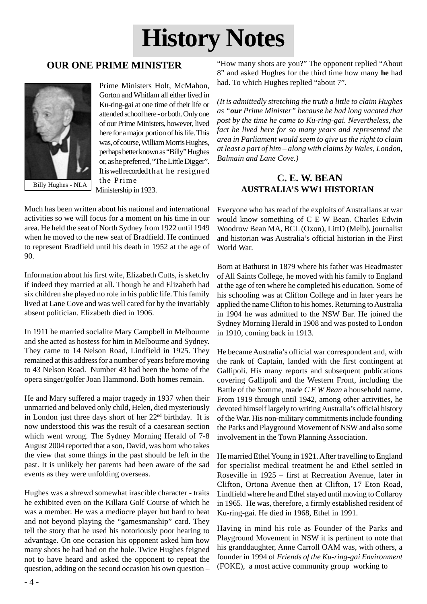# **History Notes**

### **OUR ONE PRIME MINISTER**



Prime Ministers Holt, McMahon, Gorton and Whitlam all either lived in Ku-ring-gai at one time of their life or attended school here - or both. Only one of our Prime Ministers, however, lived here for a major portion of his life. This was, of course, William Morris Hughes, perhaps better known as "Billy" Hughes or, as he preferred, "The Little Digger". It is well recorded that he resigned the Prime Ministership in 1923.

Much has been written about his national and international activities so we will focus for a moment on his time in our area. He held the seat of North Sydney from 1922 until 1949 when he moved to the new seat of Bradfield. He continued to represent Bradfield until his death in 1952 at the age of 90.

Information about his first wife, Elizabeth Cutts, is sketchy if indeed they married at all. Though he and Elizabeth had six children she played no role in his public life. This family lived at Lane Cove and was well cared for by the invariably absent politician. Elizabeth died in 1906.

In 1911 he married socialite Mary Campbell in Melbourne and she acted as hostess for him in Melbourne and Sydney. They came to 14 Nelson Road, Lindfield in 1925. They remained at this address for a number of years before moving to 43 Nelson Road. Number 43 had been the home of the opera singer/golfer Joan Hammond. Both homes remain.

He and Mary suffered a major tragedy in 1937 when their unmarried and beloved only child, Helen, died mysteriously in London just three days short of her 22nd birthday. It is now understood this was the result of a caesarean section which went wrong. The Sydney Morning Herald of 7-8 August 2004 reported that a son, David, was born who takes the view that some things in the past should be left in the past. It is unlikely her parents had been aware of the sad events as they were unfolding overseas.

Hughes was a shrewd somewhat irascible character - traits he exhibited even on the Killara Golf Course of which he was a member. He was a mediocre player but hard to beat and not beyond playing the "gamesmanship" card. They tell the story that he used his notoriously poor hearing to advantage. On one occasion his opponent asked him how many shots he had had on the hole. Twice Hughes feigned not to have heard and asked the opponent to repeat the question, adding on the second occasion his own question –

"How many shots are you?" The opponent replied "About 8" and asked Hughes for the third time how many **he** had had. To which Hughes replied "about 7".

*(It is admittedly stretching the truth a little to claim Hughes as "our Prime Minister" because he had long vacated that post by the time he came to Ku-ring-gai. Nevertheless, the fact he lived here for so many years and represented the area in Parliament would seem to give us the right to claim at least a part of him – along with claims by Wales, London, Balmain and Lane Cove.)*

#### **C. E. W. BEAN AUSTRALIA'S WW1 HISTORIAN**

Everyone who has read of the exploits of Australians at war would know something of C E W Bean. Charles Edwin Woodrow Bean MA, BCL (Oxon), LittD (Melb), journalist and historian was Australia's official historian in the First World War.

Born at Bathurst in 1879 where his father was Headmaster of All Saints College, he moved with his family to England at the age of ten where he completed his education. Some of his schooling was at Clifton College and in later years he applied the name Clifton to his homes. Returning to Australia in 1904 he was admitted to the NSW Bar. He joined the Sydney Morning Herald in 1908 and was posted to London in 1910, coming back in 1913.

He became Australia's official war correspondent and, with the rank of Captain, landed with the first contingent at Gallipoli. His many reports and subsequent publications covering Gallipoli and the Western Front, including the Battle of the Somme, made *C E W Bean* a household name. From 1919 through until 1942, among other activities, he devoted himself largely to writing Australia's official history of the War. His non-military commitments include founding the Parks and Playground Movement of NSW and also some involvement in the Town Planning Association.

He married Ethel Young in 1921. After travelling to England for specialist medical treatment he and Ethel settled in Roseville in 1925 – first at Recreation Avenue, later in Clifton, Ortona Avenue then at Clifton, 17 Eton Road, Lindfield where he and Ethel stayed until moving to Collaroy in 1965. He was, therefore, a firmly established resident of Ku-ring-gai. He died in 1968, Ethel in 1991.

Having in mind his role as Founder of the Parks and Playground Movement in NSW it is pertinent to note that his granddaughter, Anne Carroll OAM was, with others, a founder in 1994 of *Friends of the Ku-ring-gai Environment* (FOKE), a most active community group working to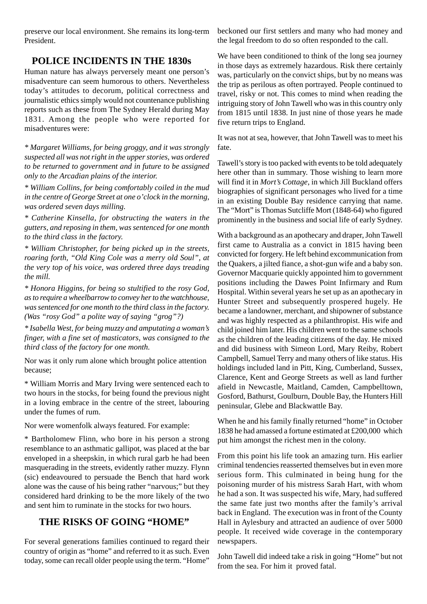preserve our local environment. She remains its long-term President.

#### **POLICE INCIDENTS IN THE 1830s**

Human nature has always perversely meant one person's misadventure can seem humorous to others. Nevertheless today's attitudes to decorum, political correctness and journalistic ethics simply would not countenance publishing reports such as these from The Sydney Herald during May 1831. Among the people who were reported for misadventures were:

*\* Margaret Williams, for being groggy, and it was strongly suspected all was not right in the upper stories, was ordered to be returned to government and in future to be assigned only to the Arcadian plains of the interior.*

*\* William Collins, for being comfortably coiled in the mud in the centre of George Street at one o'clock in the morning, was ordered seven days milling.*

*\* Catherine Kinsella, for obstructing the waters in the gutters, and reposing in them, was sentenced for one month to the third class in the factory.*

*\* William Christopher, for being picked up in the streets, roaring forth, "Old King Cole was a merry old Soul", at the very top of his voice, was ordered three days treading the mill.*

*\* Honora Higgins, for being so stultified to the rosy God, as to require a wheelbarrow to convey her to the watchhouse, was sentenced for one month to the third class in the factory. (Was "rosy God" a polite way of saying "grog"?)*

*\* Isabella West, for being muzzy and amputating a woman's finger, with a fine set of masticators, was consigned to the third class of the factory for one month.*

Nor was it only rum alone which brought police attention because;

\* William Morris and Mary Irving were sentenced each to two hours in the stocks, for being found the previous night in a loving embrace in the centre of the street, labouring under the fumes of rum.

Nor were womenfolk always featured. For example:

\* Bartholomew Flinn, who bore in his person a strong resemblance to an asthmatic gallipot, was placed at the bar enveloped in a sheepskin, in which rural garb he had been masquerading in the streets, evidently rather muzzy. Flynn (sic) endeavoured to persuade the Bench that hard work alone was the cause of his being rather "narvous;" but they considered hard drinking to be the more likely of the two and sent him to ruminate in the stocks for two hours.

#### **THE RISKS OF GOING "HOME"**

For several generations families continued to regard their country of origin as "home" and referred to it as such. Even today, some can recall older people using the term. "Home"

beckoned our first settlers and many who had money and the legal freedom to do so often responded to the call.

We have been conditioned to think of the long sea journey in those days as extremely hazardous. Risk there certainly was, particularly on the convict ships, but by no means was the trip as perilous as often portrayed. People continued to travel, risky or not. This comes to mind when reading the intriguing story of John Tawell who was in this country only from 1815 until 1838. In just nine of those years he made five return trips to England.

It was not at sea, however, that John Tawell was to meet his fate.

Tawell's story is too packed with events to be told adequately here other than in summary. Those wishing to learn more will find it in *Mort's Cottage*, in which Jill Buckland offers biographies of significant personages who lived for a time in an existing Double Bay residence carrying that name. The "Mort" is Thomas Sutcliffe Mort (1848-64) who figured prominently in the business and social life of early Sydney.

With a background as an apothecary and draper, John Tawell first came to Australia as a convict in 1815 having been convicted for forgery. He left behind excommunication from the Quakers, a jilted fiance, a shot-gun wife and a baby son. Governor Macquarie quickly appointed him to government positions including the Dawes Point Infirmary and Rum Hospital. Within several years he set up as an apothecary in Hunter Street and subsequently prospered hugely. He became a landowner, merchant, and shipowner of substance and was highly respected as a philanthropist. His wife and child joined him later. His children went to the same schools as the children of the leading citizens of the day. He mixed and did business with Simeon Lord, Mary Reiby, Robert Campbell, Samuel Terry and many others of like status. His holdings included land in Pitt, King, Cumberland, Sussex, Clarence, Kent and George Streets as well as land further afield in Newcastle, Maitland, Camden, Campbelltown, Gosford, Bathurst, Goulburn, Double Bay, the Hunters Hill peninsular, Glebe and Blackwattle Bay.

When he and his family finally returned "home" in October 1838 he had amassed a fortune estimated at £200,000 which put him amongst the richest men in the colony.

From this point his life took an amazing turn. His earlier criminal tendencies reasserted themselves but in even more serious form. This culminated in being hung for the poisoning murder of his mistress Sarah Hart, with whom he had a son. It was suspected his wife, Mary, had suffered the same fate just two months after the family's arrival back in England. The execution was in front of the County Hall in Aylesbury and attracted an audience of over 5000 people. It received wide coverage in the contemporary newspapers.

John Tawell did indeed take a risk in going "Home" but not from the sea. For him it proved fatal.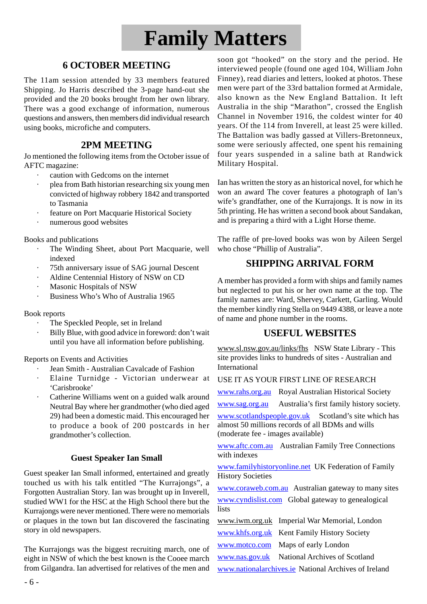## **Family Matters**

### **6 OCTOBER MEETING**

The 11am session attended by 33 members featured Shipping. Jo Harris described the 3-page hand-out she provided and the 20 books brought from her own library. There was a good exchange of information, numerous questions and answers, then members did individual research using books, microfiche and computers.

#### **2PM MEETING**

Jo mentioned the following items from the October issue of AFTC magazine:

- · caution with Gedcoms on the internet
- plea from Bath historian researching six young men convicted of highway robbery 1842 and transported to Tasmania
- feature on Port Macquarie Historical Society
- numerous good websites

Books and publications

- The Winding Sheet, about Port Macquarie, well indexed
- 75th anniversary issue of SAG journal Descent
- Aldine Centennial History of NSW on CD
- Masonic Hospitals of NSW
- · Business Who's Who of Australia 1965

#### Book reports

- The Speckled People, set in Ireland
- Billy Blue, with good advice in foreword: don't wait until you have all information before publishing.

Reports on Events and Activities

- · Jean Smith Australian Cavalcade of Fashion
- · Elaine Turnidge Victorian underwear at 'Carisbrooke'
- Catherine Williams went on a guided walk around Neutral Bay where her grandmother (who died aged 29) had been a domestic maid. This encouraged her to produce a book of 200 postcards in her grandmother's collection.

#### **Guest Speaker Ian Small**

Guest speaker Ian Small informed, entertained and greatly touched us with his talk entitled "The Kurrajongs", a Forgotten Australian Story. Ian was brought up in Inverell, studied WW1 for the HSC at the High School there but the Kurrajongs were never mentioned. There were no memorials or plaques in the town but Ian discovered the fascinating story in old newspapers.

The Kurrajongs was the biggest recruiting march, one of eight in NSW of which the best known is the Cooee march from Gilgandra. Ian advertised for relatives of the men and

soon got "hooked" on the story and the period. He interviewed people (found one aged 104, William John Finney), read diaries and letters, looked at photos. These men were part of the 33rd battalion formed at Armidale, also known as the New England Battalion. It left Australia in the ship "Marathon", crossed the English Channel in November 1916, the coldest winter for 40 years. Of the 114 from Inverell, at least 25 were killed. The Battalion was badly gassed at Villers-Bretonneux, some were seriously affected, one spent his remaining four years suspended in a saline bath at Randwick Military Hospital.

Ian has written the story as an historical novel, for which he won an award The cover features a photograph of Ian's wife's grandfather, one of the Kurrajongs. It is now in its 5th printing. He has written a second book about Sandakan, and is preparing a third with a Light Horse theme.

The raffle of pre-loved books was won by Aileen Sergel who chose "Phillip of Australia".

#### **SHIPPING ARRIVAL FORM**

A member has provided a form with ships and family names but neglected to put his or her own name at the top. The family names are: Ward, Shervey, Carkett, Garling. Would the member kindly ring Stella on 9449 4388, or leave a note of name and phone number in the rooms.

#### **USEFUL WEBSITES**

www.sl.nsw.gov.au/links/fhs NSW State Library - This site provides links to hundreds of sites - Australian and International

#### USE IT AS YOUR FIRST LINE OF RESEARCH

www.rahs.org.au Royal Australian Historical Society

www.sag.org.au Australia's first family history society.

www.scotlandspeople.gov.uk Scotland's site which has almost 50 millions records of all BDMs and wills (moderate fee - images available)

www.aftc.com.au Australian Family Tree Connections with indexes

www.familyhistoryonline.net UK Federation of Family History Societies

www.coraweb.com.au Australian gateway to many sites www.cyndislist.com Global gateway to genealogical lists

|                                                      | www.iwm.org.uk Imperial War Memorial, London |  |
|------------------------------------------------------|----------------------------------------------|--|
|                                                      | www.khfs.org.uk Kent Family History Society  |  |
|                                                      | www.motco.com Maps of early London           |  |
|                                                      | www.nas.gov.uk National Archives of Scotland |  |
| www.nationalarchives.ie National Archives of Ireland |                                              |  |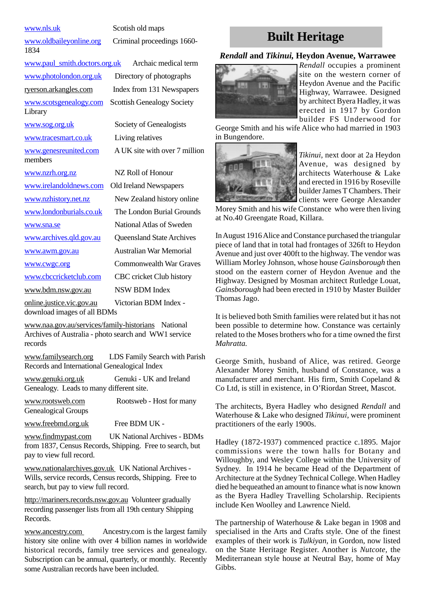1834

www.paul\_smith.doctors.org.uk Archaic medical term www.photolondon.org.uk Directory of photographs ryerson.arkangles.com Index from 131 Newspapers www.scotsgenealogy.com Scottish Genealogy Society Library www.sog.org.uk Society of Genealogists www.tracesmart.co.uk Living relatives www.genesreunited.com A UK site with over 7 million members www.nzrh.org.nz NZ Roll of Honour www.irelandoldnews.com Old Ireland Newspapers www.nzhistory.net.nz New Zealand history online www.londonburials.co.uk The London Burial Grounds www.sna.se National Atlas of Sweden www.archives.qld.gov.au Queensland State Archives www.awm.gov.au Australian War Memorial

www.nls.uk Scotish old maps

www.oldbaileyonline.org Criminal proceedings 1660-

www.cwgc.org Commonwealth War Graves www.cbccricketclub.com CBC cricket Club history www.bdm.nsw.gov.au NSW BDM Index online.justice.vic.gov.au Victorian BDM Index download images of all BDMs

www.naa.gov.au/services/family-historians National Archives of Australia - photo search and WW1 service records

www.familysearch.org LDS Family Search with Parish Records and International Genealogical Index

www.genuki.org.uk Genuki - UK and Ireland Genealogy. Leads to many different site.

www.rootsweb.com Rootsweb - Host for many Genealogical Groups

www.freebmd.org.uk Free BDM UK -

www.findmypast.com UK National Archives - BDMs from 1837, Census Records, Shipping. Free to search, but pay to view full record.

www.nationalarchives.gov.uk UK National Archives - Wills, service records, Census records, Shipping. Free to search, but pay to view full record.

http://mariners.records.nsw.gov.au Volunteer gradually recording passenger lists from all 19th century Shipping Records.

www.ancestry.com Ancestry.com is the largest family history site online with over 4 billion names in worldwide historical records, family tree services and genealogy. Subscription can be annual, quarterly, or monthly. Recently some Australian records have been included.

## **Built Heritage**

#### *Rendall* **and** *Tikinui,* **Heydon Avenue, Warrawee**



*Rendall* occupies a prominent site on the western corner of Heydon Avenue and the Pacific Highway, Warrawee. Designed by architect Byera Hadley, it was erected in 1917 by Gordon builder FS Underwood for

George Smith and his wife Alice who had married in 1903 in Bungendore.



*Tikinui,* next door at 2a Heydon Avenue, was designed by architects Waterhouse & Lake and erected in 1916 by Roseville builder James T Chambers. Their clients were George Alexander

Morey Smith and his wife Constance who were then living at No.40 Greengate Road, Killara.

In August 1916 Alice and Constance purchased the triangular piece of land that in total had frontages of 326ft to Heydon Avenue and just over 400ft to the highway. The vendor was William Morley Johnson, whose house *Gainsborough* then stood on the eastern corner of Heydon Avenue and the Highway. Designed by Mosman architect Rutledge Louat, *Gainsborough* had been erected in 1910 by Master Builder Thomas Jago.

It is believed both Smith families were related but it has not been possible to determine how. Constance was certainly related to the Moses brothers who for a time owned the first *Mahratta.*

George Smith, husband of Alice, was retired. George Alexander Morey Smith, husband of Constance, was a manufacturer and merchant. His firm, Smith Copeland & Co Ltd, is still in existence, in O'Riordan Street, Mascot.

The architects, Byera Hadley who designed *Rendall* and Waterhouse & Lake who designed *Tikinui*, were prominent practitioners of the early 1900s.

Hadley (1872-1937) commenced practice c.1895. Major commissions were the town halls for Botany and Willoughby, and Wesley College within the University of Sydney. In 1914 he became Head of the Department of Architecture at the Sydney Technical College. When Hadley died he bequeathed an amount to finance what is now known as the Byera Hadley Travelling Scholarship. Recipients include Ken Woolley and Lawrence Nield.

The partnership of Waterhouse & Lake began in 1908 and specialised in the Arts and Crafts style. One of the finest examples of their work is *Tulkiyan,* in Gordon, now listed on the State Heritage Register. Another is *Nutcote,* the Mediterranean style house at Neutral Bay, home of May Gibbs.